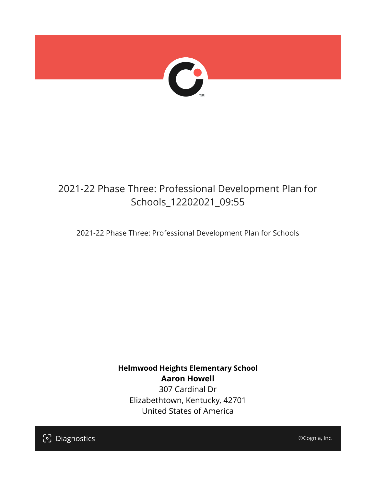

## 2021-22 Phase Three: Professional Development Plan for Schools\_12202021\_09:55

2021-22 Phase Three: Professional Development Plan for Schools

**Helmwood Heights Elementary School Aaron Howell** 307 Cardinal Dr Elizabethtown, Kentucky, 42701 United States of America

[၁] Diagnostics

©Cognia, Inc.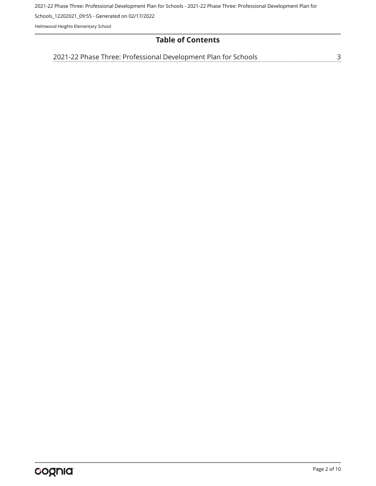2021-22 Phase Three: Professional Development Plan for Schools - 2021-22 Phase Three: Professional Development Plan for

Schools\_12202021\_09:55 - Generated on 02/17/2022

Helmwood Heights Elementary School

## **Table of Contents**

[3](#page-2-0) [2021-22 Phase Three: Professional Development Plan for Schools](#page-2-0)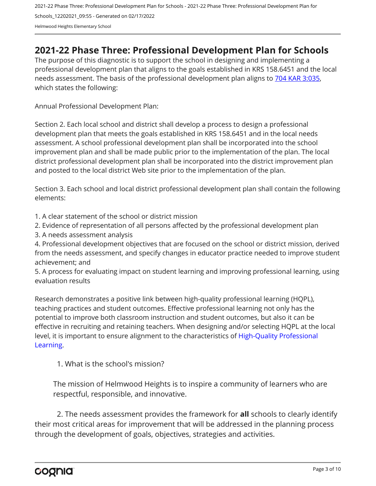2021-22 Phase Three: Professional Development Plan for Schools - 2021-22 Phase Three: Professional Development Plan for Schools\_12202021\_09:55 - Generated on 02/17/2022 Helmwood Heights Elementary School

## <span id="page-2-0"></span>**2021-22 Phase Three: Professional Development Plan for Schools**

The purpose of this diagnostic is to support the school in designing and implementing a professional development plan that aligns to the goals established in KRS 158.6451 and the local needs assessment. The basis of the professional development plan aligns to [704 KAR 3:035,](https://apps.legislature.ky.gov/Law/kar/704/003/035.pdf) which states the following:

Annual Professional Development Plan:

Section 2. Each local school and district shall develop a process to design a professional development plan that meets the goals established in KRS 158.6451 and in the local needs assessment. A school professional development plan shall be incorporated into the school improvement plan and shall be made public prior to the implementation of the plan. The local district professional development plan shall be incorporated into the district improvement plan and posted to the local district Web site prior to the implementation of the plan.

Section 3. Each school and local district professional development plan shall contain the following elements:

1. A clear statement of the school or district mission

2. Evidence of representation of all persons affected by the professional development plan

3. A needs assessment analysis

4. Professional development objectives that are focused on the school or district mission, derived from the needs assessment, and specify changes in educator practice needed to improve student achievement; and

5. A process for evaluating impact on student learning and improving professional learning, using evaluation results

Research demonstrates a positive link between high-quality professional learning (HQPL), teaching practices and student outcomes. Effective professional learning not only has the potential to improve both classroom instruction and student outcomes, but also it can be effective in recruiting and retaining teachers. When designing and/or selecting HQPL at the local level, it is important to ensure alignment to the characteristics of [High-Quality Professional](https://protect-us.mimecast.com/s/t_VKCmZ28lUj9ElyiG-gxw?domain=education.ky.gov)  [Learning](https://protect-us.mimecast.com/s/t_VKCmZ28lUj9ElyiG-gxw?domain=education.ky.gov).

1. What is the school's mission?

The mission of Helmwood Heights is to inspire a community of learners who are respectful, responsible, and innovative.

2. The needs assessment provides the framework for **all** schools to clearly identify their most critical areas for improvement that will be addressed in the planning process through the development of goals, objectives, strategies and activities.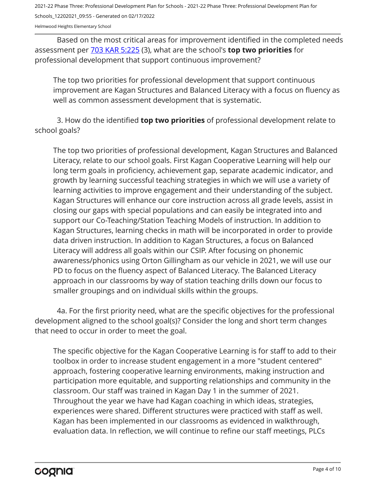Helmwood Heights Elementary School

Based on the most critical areas for improvement identified in the completed needs assessment per [703 KAR 5:225](https://apps.legislature.ky.gov/law/kar/703/005/225.pdf) (3), what are the school's **top two priorities** for professional development that support continuous improvement?

The top two priorities for professional development that support continuous improvement are Kagan Structures and Balanced Literacy with a focus on fluency as well as common assessment development that is systematic.

3. How do the identified **top two priorities** of professional development relate to school goals?

The top two priorities of professional development, Kagan Structures and Balanced Literacy, relate to our school goals. First Kagan Cooperative Learning will help our long term goals in proficiency, achievement gap, separate academic indicator, and growth by learning successful teaching strategies in which we will use a variety of learning activities to improve engagement and their understanding of the subject. Kagan Structures will enhance our core instruction across all grade levels, assist in closing our gaps with special populations and can easily be integrated into and support our Co-Teaching/Station Teaching Models of instruction. In addition to Kagan Structures, learning checks in math will be incorporated in order to provide data driven instruction. In addition to Kagan Structures, a focus on Balanced Literacy will address all goals within our CSIP. After focusing on phonemic awareness/phonics using Orton Gillingham as our vehicle in 2021, we will use our PD to focus on the fluency aspect of Balanced Literacy. The Balanced Literacy approach in our classrooms by way of station teaching drills down our focus to smaller groupings and on individual skills within the groups.

4a. For the first priority need, what are the specific objectives for the professional development aligned to the school goal(s)? Consider the long and short term changes that need to occur in order to meet the goal.

The specific objective for the Kagan Cooperative Learning is for staff to add to their toolbox in order to increase student engagement in a more "student centered" approach, fostering cooperative learning environments, making instruction and participation more equitable, and supporting relationships and community in the classroom. Our staff was trained in Kagan Day 1 in the summer of 2021. Throughout the year we have had Kagan coaching in which ideas, strategies, experiences were shared. Different structures were practiced with staff as well. Kagan has been implemented in our classrooms as evidenced in walkthrough, evaluation data. In reflection, we will continue to refine our staff meetings, PLCs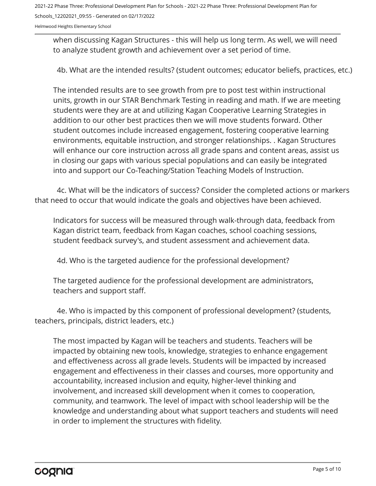Helmwood Heights Elementary School

when discussing Kagan Structures - this will help us long term. As well, we will need to analyze student growth and achievement over a set period of time.

4b. What are the intended results? (student outcomes; educator beliefs, practices, etc.)

The intended results are to see growth from pre to post test within instructional units, growth in our STAR Benchmark Testing in reading and math. If we are meeting students were they are at and utilizing Kagan Cooperative Learning Strategies in addition to our other best practices then we will move students forward. Other student outcomes include increased engagement, fostering cooperative learning environments, equitable instruction, and stronger relationships. . Kagan Structures will enhance our core instruction across all grade spans and content areas, assist us in closing our gaps with various special populations and can easily be integrated into and support our Co-Teaching/Station Teaching Models of Instruction.

4c. What will be the indicators of success? Consider the completed actions or markers that need to occur that would indicate the goals and objectives have been achieved.

Indicators for success will be measured through walk-through data, feedback from Kagan district team, feedback from Kagan coaches, school coaching sessions, student feedback survey's, and student assessment and achievement data.

4d. Who is the targeted audience for the professional development?

The targeted audience for the professional development are administrators, teachers and support staff.

4e. Who is impacted by this component of professional development? (students, teachers, principals, district leaders, etc.)

The most impacted by Kagan will be teachers and students. Teachers will be impacted by obtaining new tools, knowledge, strategies to enhance engagement and effectiveness across all grade levels. Students will be impacted by increased engagement and effectiveness in their classes and courses, more opportunity and accountability, increased inclusion and equity, higher-level thinking and involvement, and increased skill development when it comes to cooperation, community, and teamwork. The level of impact with school leadership will be the knowledge and understanding about what support teachers and students will need in order to implement the structures with fidelity.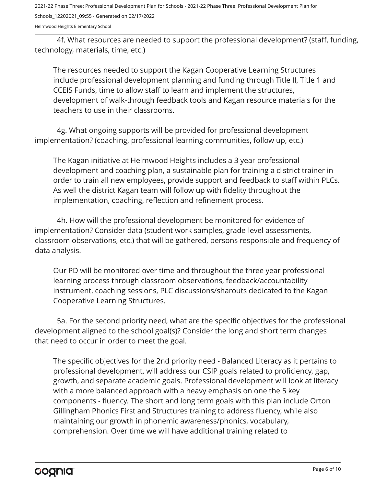Helmwood Heights Elementary School

4f. What resources are needed to support the professional development? (staff, funding, technology, materials, time, etc.)

The resources needed to support the Kagan Cooperative Learning Structures include professional development planning and funding through Title II, Title 1 and CCEIS Funds, time to allow staff to learn and implement the structures, development of walk-through feedback tools and Kagan resource materials for the teachers to use in their classrooms.

4g. What ongoing supports will be provided for professional development implementation? (coaching, professional learning communities, follow up, etc.)

The Kagan initiative at Helmwood Heights includes a 3 year professional development and coaching plan, a sustainable plan for training a district trainer in order to train all new employees, provide support and feedback to staff within PLCs. As well the district Kagan team will follow up with fidelity throughout the implementation, coaching, reflection and refinement process.

4h. How will the professional development be monitored for evidence of implementation? Consider data (student work samples, grade-level assessments, classroom observations, etc.) that will be gathered, persons responsible and frequency of data analysis.

Our PD will be monitored over time and throughout the three year professional learning process through classroom observations, feedback/accountability instrument, coaching sessions, PLC discussions/sharouts dedicated to the Kagan Cooperative Learning Structures.

5a. For the second priority need, what are the specific objectives for the professional development aligned to the school goal(s)? Consider the long and short term changes that need to occur in order to meet the goal.

The specific objectives for the 2nd priority need - Balanced Literacy as it pertains to professional development, will address our CSIP goals related to proficiency, gap, growth, and separate academic goals. Professional development will look at literacy with a more balanced approach with a heavy emphasis on one the 5 key components - fluency. The short and long term goals with this plan include Orton Gillingham Phonics First and Structures training to address fluency, while also maintaining our growth in phonemic awareness/phonics, vocabulary, comprehension. Over time we will have additional training related to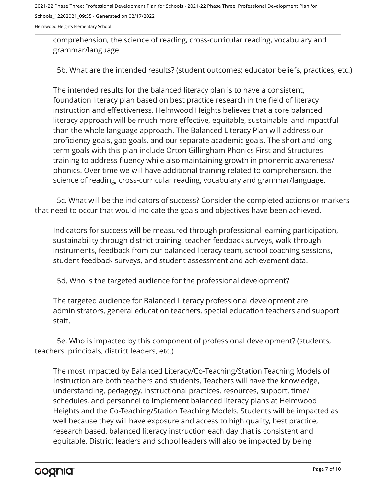Helmwood Heights Elementary School

comprehension, the science of reading, cross-curricular reading, vocabulary and grammar/language.

5b. What are the intended results? (student outcomes; educator beliefs, practices, etc.)

The intended results for the balanced literacy plan is to have a consistent, foundation literacy plan based on best practice research in the field of literacy instruction and effectiveness. Helmwood Heights believes that a core balanced literacy approach will be much more effective, equitable, sustainable, and impactful than the whole language approach. The Balanced Literacy Plan will address our proficiency goals, gap goals, and our separate academic goals. The short and long term goals with this plan include Orton Gillingham Phonics First and Structures training to address fluency while also maintaining growth in phonemic awareness/ phonics. Over time we will have additional training related to comprehension, the science of reading, cross-curricular reading, vocabulary and grammar/language.

5c. What will be the indicators of success? Consider the completed actions or markers that need to occur that would indicate the goals and objectives have been achieved.

Indicators for success will be measured through professional learning participation, sustainability through district training, teacher feedback surveys, walk-through instruments, feedback from our balanced literacy team, school coaching sessions, student feedback surveys, and student assessment and achievement data.

5d. Who is the targeted audience for the professional development?

The targeted audience for Balanced Literacy professional development are administrators, general education teachers, special education teachers and support staff.

5e. Who is impacted by this component of professional development? (students, teachers, principals, district leaders, etc.)

The most impacted by Balanced Literacy/Co-Teaching/Station Teaching Models of Instruction are both teachers and students. Teachers will have the knowledge, understanding, pedagogy, instructional practices, resources, support, time/ schedules, and personnel to implement balanced literacy plans at Helmwood Heights and the Co-Teaching/Station Teaching Models. Students will be impacted as well because they will have exposure and access to high quality, best practice, research based, balanced literacy instruction each day that is consistent and equitable. District leaders and school leaders will also be impacted by being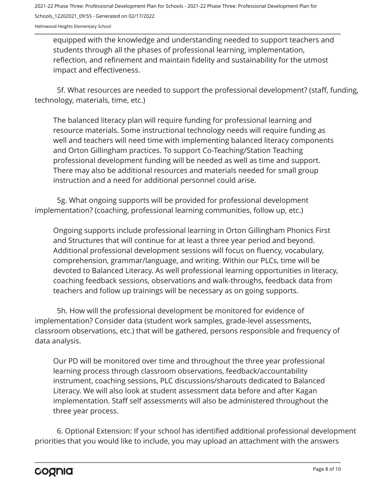Helmwood Heights Elementary School

equipped with the knowledge and understanding needed to support teachers and students through all the phases of professional learning, implementation, reflection, and refinement and maintain fidelity and sustainability for the utmost impact and effectiveness.

5f. What resources are needed to support the professional development? (staff, funding, technology, materials, time, etc.)

The balanced literacy plan will require funding for professional learning and resource materials. Some instructional technology needs will require funding as well and teachers will need time with implementing balanced literacy components and Orton Gillingham practices. To support Co-Teaching/Station Teaching professional development funding will be needed as well as time and support. There may also be additional resources and materials needed for small group instruction and a need for additional personnel could arise.

5g. What ongoing supports will be provided for professional development implementation? (coaching, professional learning communities, follow up, etc.)

Ongoing supports include professional learning in Orton Gillingham Phonics First and Structures that will continue for at least a three year period and beyond. Additional professional development sessions will focus on fluency, vocabulary, comprehension, grammar/language, and writing. Within our PLCs, time will be devoted to Balanced Literacy. As well professional learning opportunities in literacy, coaching feedback sessions, observations and walk-throughs, feedback data from teachers and follow up trainings will be necessary as on going supports.

5h. How will the professional development be monitored for evidence of implementation? Consider data (student work samples, grade-level assessments, classroom observations, etc.) that will be gathered, persons responsible and frequency of data analysis.

Our PD will be monitored over time and throughout the three year professional learning process through classroom observations, feedback/accountability instrument, coaching sessions, PLC discussions/sharouts dedicated to Balanced Literacy. We will also look at student assessment data before and after Kagan implementation. Staff self assessments will also be administered throughout the three year process.

6. Optional Extension: If your school has identified additional professional development priorities that you would like to include, you may upload an attachment with the answers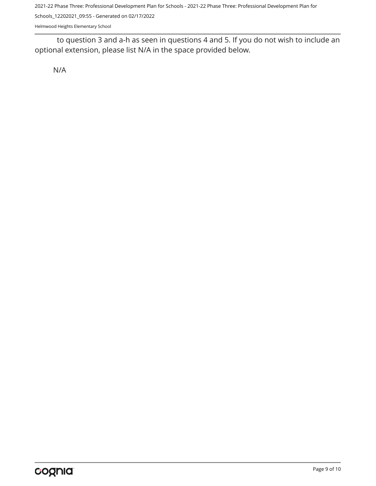2021-22 Phase Three: Professional Development Plan for Schools - 2021-22 Phase Three: Professional Development Plan for

Schools\_12202021\_09:55 - Generated on 02/17/2022

Helmwood Heights Elementary School

to question 3 and a-h as seen in questions 4 and 5. If you do not wish to include an optional extension, please list N/A in the space provided below.

N/A